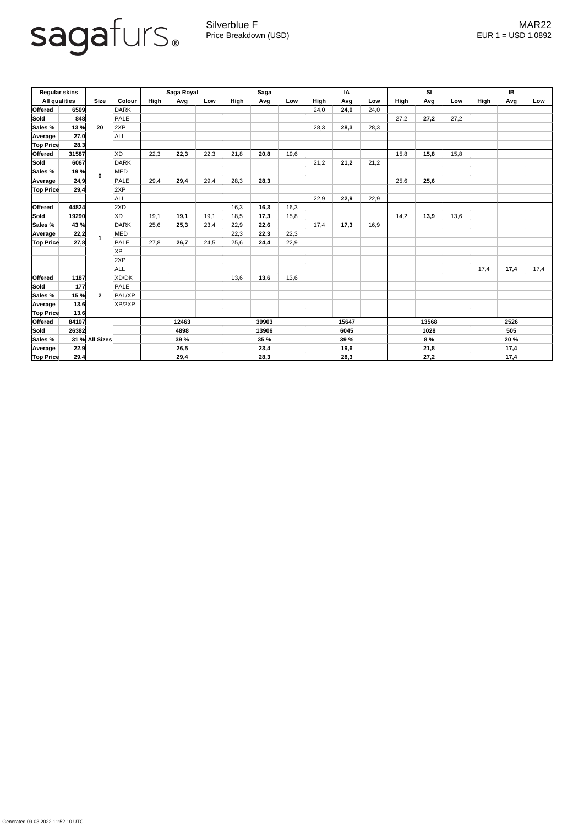

Silverblue F **MAR22** Price Breakdown (USD) error and the USD 1.0892

Generated 09.03.2022 11:52:10 UTC

| <b>Regular skins</b> |       |                |             | Saga Royal  |      |      | <b>Saga</b> |      |      | IA          |      |      | SI          |      |      | IB          |      |      |
|----------------------|-------|----------------|-------------|-------------|------|------|-------------|------|------|-------------|------|------|-------------|------|------|-------------|------|------|
| <b>All qualities</b> |       | <b>Size</b>    | Colour      | High        | Avg  | Low  | High        | Avg  | Low  | <b>High</b> | Avg  | Low  | <b>High</b> | Avg  | Low  | <b>High</b> | Avg  | Low  |
| <b>Offered</b>       | 6509  |                | <b>DARK</b> |             |      |      |             |      |      | 24,0        | 24,0 | 24,0 |             |      |      |             |      |      |
| <b>Sold</b>          | 848   | 20             | <b>PALE</b> |             |      |      |             |      |      |             |      |      | 27,2        | 27,2 | 27,2 |             |      |      |
| Sales %              | 13%   |                | 2XP         |             |      |      |             |      |      | 28,3        | 28,3 | 28,3 |             |      |      |             |      |      |
| Average              | 27,0  |                | <b>ALL</b>  |             |      |      |             |      |      |             |      |      |             |      |      |             |      |      |
| <b>Top Price</b>     | 28,3  |                |             |             |      |      |             |      |      |             |      |      |             |      |      |             |      |      |
| <b>Offered</b>       | 31587 |                | XD          | 22,3        | 22,3 | 22,3 | 21,8        | 20,8 | 19,6 |             |      |      | 15,8        | 15,8 | 15,8 |             |      |      |
| <b>Sold</b>          | 6067  | $\mathbf 0$    | <b>DARK</b> |             |      |      |             |      |      | 21,2        | 21,2 | 21,2 |             |      |      |             |      |      |
| <b>Sales %</b>       | 19 %  |                | MED         |             |      |      |             |      |      |             |      |      |             |      |      |             |      |      |
| <b>Average</b>       | 24,9  |                | <b>PALE</b> | 29,4        | 29,4 | 29,4 | 28,3        | 28,3 |      |             |      |      | 25,6        | 25,6 |      |             |      |      |
| <b>Top Price</b>     | 29,4  |                | 2XP         |             |      |      |             |      |      |             |      |      |             |      |      |             |      |      |
|                      |       |                | ALL         |             |      |      |             |      |      | 22,9        | 22,9 | 22,9 |             |      |      |             |      |      |
| <b>Offered</b>       | 44824 |                | 2XD         |             |      |      | 16,3        | 16,3 | 16,3 |             |      |      |             |      |      |             |      |      |
| <b>Sold</b>          | 19290 |                | <b>XD</b>   | 19,1        | 19,1 | 19,1 | 18,5        | 17,3 | 15,8 |             |      |      | 14,2        | 13,9 | 13,6 |             |      |      |
| Sales %              | 43 %  |                | <b>DARK</b> | 25,6        | 25,3 | 23,4 | 22,9        | 22,6 |      | 17,4        | 17,3 | 16,9 |             |      |      |             |      |      |
| Average              | 22,2  |                | MED         |             |      |      | 22,3        | 22,3 | 22,3 |             |      |      |             |      |      |             |      |      |
| <b>Top Price</b>     | 27,8  |                | PALE        | 27,8        | 26,7 | 24,5 | 25,6        | 24,4 | 22,9 |             |      |      |             |      |      |             |      |      |
|                      |       |                | <b>XP</b>   |             |      |      |             |      |      |             |      |      |             |      |      |             |      |      |
|                      |       |                | 2XP         |             |      |      |             |      |      |             |      |      |             |      |      |             |      |      |
|                      |       |                | <b>ALL</b>  |             |      |      |             |      |      |             |      |      |             |      |      | 17,4        | 17,4 | 17,4 |
| <b>Offered</b>       | 1187  |                | XD/DK       |             |      |      | 13,6        | 13,6 | 13,6 |             |      |      |             |      |      |             |      |      |
| <b>Sold</b>          | 177   |                | <b>PALE</b> |             |      |      |             |      |      |             |      |      |             |      |      |             |      |      |
| Sales %              | 15 %  | $\mathbf{2}$   | PAL/XP      |             |      |      |             |      |      |             |      |      |             |      |      |             |      |      |
| Average              | 13,6  |                | XP/2XP      |             |      |      |             |      |      |             |      |      |             |      |      |             |      |      |
| <b>Top Price</b>     | 13,6  |                |             |             |      |      |             |      |      |             |      |      |             |      |      |             |      |      |
| <b>Offered</b>       | 84107 |                |             | 12463       |      |      | 39903       |      |      | 15647       |      |      | 13568       |      |      | 2526        |      |      |
| <b>Sold</b>          | 26382 |                |             | 4898        |      |      | 13906       |      |      | 6045        |      | 1028 |             |      | 505  |             |      |      |
| <b>Sales %</b>       |       | 31 % All Sizes |             | <b>39 %</b> |      |      | <b>35 %</b> |      |      | 39 %        |      |      | 8 %         |      |      | 20 %        |      |      |
| <b>Average</b>       | 22,9  |                |             |             | 26,5 |      |             | 23,4 |      |             | 19,6 |      | 21,8        |      |      | 17,4        |      |      |
| <b>Top Price</b>     | 29,4  |                |             | 29,4        |      |      | 28,3        |      |      | 28,3        |      |      | 27,2        |      |      | 17,4        |      |      |